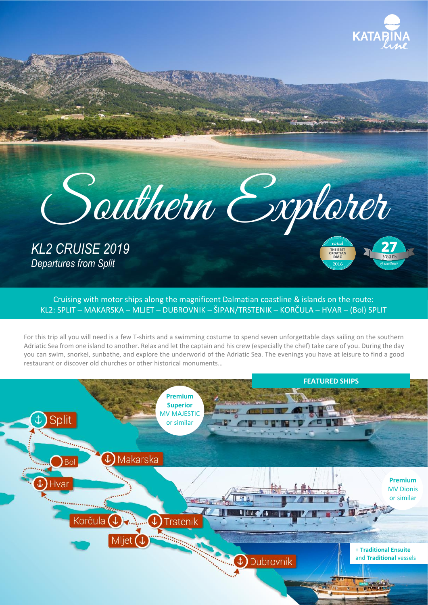

THE BEST<br>CROATIAN<br>DMC  $201$ 



*KL2 CRUISE 2019 Departures from Split*

Cruising with motor ships along the magnificent Dalmatian coastline & islands on the route: KL2: SPLIT – MAKARSKA – MLJET – DUBROVNIK – ŠIPAN/TRSTENIK – KORČULA – HVAR – (Bol) SPLIT

For this trip all you will need is a few T-shirts and a swimming costume to spend seven unforgettable days sailing on the southern Adriatic Sea from one island to another. Relax and let the captain and his crew (especially the chef) take care of you. During the day you can swim, snorkel, sunbathe, and explore the underworld of the Adriatic Sea. The evenings you have at leisure to find a good restaurant or discover old churches or other historical monuments…

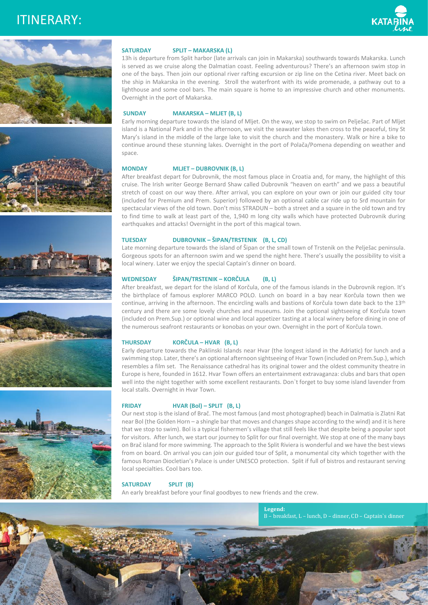# ITINERARY:













## **SATURDAY SPLIT – MAKARSKA (L)**

13h is departure from Split harbor (late arrivals can join in Makarska) southwards towards Makarska. Lunch is served as we cruise along the Dalmatian coast. Feeling adventurous? There's an afternoon swim stop in one of the bays. Then join our optional river rafting excursion or zip line on the Cetina river. Meet back on the ship in Makarska in the evening. Stroll the waterfront with its wide promenade, a pathway out to a lighthouse and some cool bars. The main square is home to an impressive church and other monuments. Overnight in the port of Makarska.

# **SUNDAY MAKARSKA – MLJET (B, L)**

Early morning departure towards the island of Mljet. On the way, we stop to swim on Pelješac. Part of Mljet island is a National Park and in the afternoon, we visit the seawater lakes then cross to the peaceful, tiny St Mary's island in the middle of the large lake to visit the church and the monastery. Walk or hire a bike to continue around these stunning lakes. Overnight in the port of Polača/Pomena depending on weather and space.

# **MONDAY MLJET – DUBROVNIK (B, L)**

After breakfast depart for Dubrovnik, the most famous place in Croatia and, for many, the highlight of this cruise. The Irish writer George Bernard Shaw called Dubrovnik "heaven on earth" and we pass a beautiful stretch of coast on our way there. After arrival, you can explore on your own or join our guided city tour (included for Premium and Prem. Superior) followed by an optional cable car ride up to Srđ mountain for spectacular views of the old town. Don't miss STRADUN – both a street and a square in the old town and try to find time to walk at least part of the, 1,940 m long city walls which have protected Dubrovnik during earthquakes and attacks! Overnight in the port of this magical town.

## **TUESDAY DUBROVNIK – ŠIPAN/TRSTENIK (B, L, CD)**

Late morning departure towards the island of Šipan or the small town of Trstenik on the Pelješac peninsula. Gorgeous spots for an afternoon swim and we spend the night here. There's usually the possibility to visit a local winery. Later we enjoy the special Captain's dinner on board.

# **WEDNESDAY ŠIPAN/TRSTENIK – KORČULA (B, L)**

After breakfast, we depart for the island of Korčula, one of the famous islands in the Dubrovnik region. It's the birthplace of famous explorer MARCO POLO. Lunch on board in a bay near Korčula town then we continue, arriving in the afternoon. The encircling walls and bastions of Korčula town date back to the 13<sup>th</sup> century and there are some lovely churches and museums. Join the optional sightseeing of Korčula town (included on Prem.Sup.) or optional wine and local appetizer tasting at a local winery before dining in one of the numerous seafront restaurants or konobas on your own. Overnight in the port of Korčula town.

## **THURSDAY KORČULA – HVAR (B, L)**

Early departure towards the Paklinski Islands near Hvar (the longest island in the Adriatic) for lunch and a swimming stop. Later, there's an optional afternoon sightseeing of Hvar Town (included on Prem.Sup.), which resembles a film set. The Renaissance cathedral has its original tower and the oldest community theatre in Europe is here, founded in 1612. Hvar Town offers an entertainment extravaganza: clubs and bars that open well into the night together with some excellent restaurants. Don`t forget to buy some island lavender from local stalls. Overnight in Hvar Town.

## **FRIDAY HVAR (Bol) – SPLIT (B, L)**

Our next stop is the island of Brač. The most famous (and most photographed) beach in Dalmatia is Zlatni Rat near Bol (the Golden Horn – a shingle bar that moves and changes shape according to the wind) and it is here that we stop to swim). Bol is a typical fishermen's village that still feels like that despite being a popular spot for visitors. After lunch, we start our journey to Split for our final overnight. We stop at one of the many bays on Brač island for more swimming. The approach to the Split Riviera is wonderful and we have the best views from on board. On arrival you can join our guided tour of Split, a monumental city which together with the famous Roman Diocletian's Palace is under UNESCO protection. Split if full of bistros and restaurant serving local specialties. Cool bars too.

### **SATURDAY SPLIT (B)**

An early breakfast before your final goodbyes to new friends and the crew.

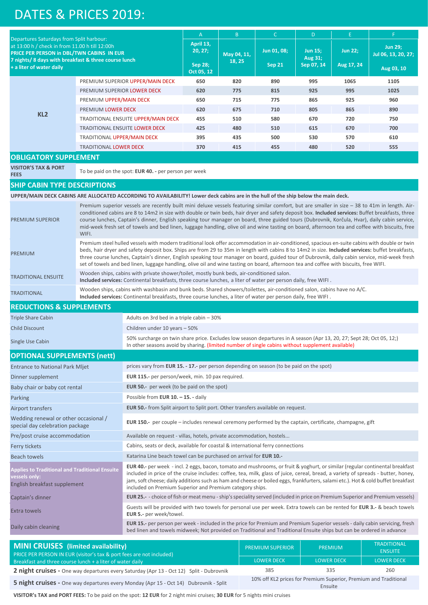# DATES & PRICES 2019:

|                                                                                                                                                                                                                            |                                                                                                                                                                                                                                                                                                                                                                                                                                                      |                                                                                                                                                                                                                                                                                                                                                                                                                                                                                                                                                                                               | $\overline{A}$               | B           | $\mathsf{C}$              | D              | E                   | F.         |  |  |
|----------------------------------------------------------------------------------------------------------------------------------------------------------------------------------------------------------------------------|------------------------------------------------------------------------------------------------------------------------------------------------------------------------------------------------------------------------------------------------------------------------------------------------------------------------------------------------------------------------------------------------------------------------------------------------------|-----------------------------------------------------------------------------------------------------------------------------------------------------------------------------------------------------------------------------------------------------------------------------------------------------------------------------------------------------------------------------------------------------------------------------------------------------------------------------------------------------------------------------------------------------------------------------------------------|------------------------------|-------------|---------------------------|----------------|---------------------|------------|--|--|
| Departures Saturdays from Split harbour:<br>at 13:00 h / check in from 11.00 h till 12:00h<br>PRICE PER PERSON in DBL/TWN CABINS IN EUR<br>7 nights/8 days with breakfast & three course lunch<br>+ a liter of water daily |                                                                                                                                                                                                                                                                                                                                                                                                                                                      | April 13,                                                                                                                                                                                                                                                                                                                                                                                                                                                                                                                                                                                     | May 04, 11,                  |             |                           |                | <b>Jun 29;</b>      |            |  |  |
|                                                                                                                                                                                                                            |                                                                                                                                                                                                                                                                                                                                                                                                                                                      | 20, 27;                                                                                                                                                                                                                                                                                                                                                                                                                                                                                                                                                                                       |                              | Jun 01, 08; | <b>Jun 15;</b><br>Aug 31; | <b>Jun 22;</b> | Jul 06, 13, 20, 27; |            |  |  |
|                                                                                                                                                                                                                            |                                                                                                                                                                                                                                                                                                                                                                                                                                                      |                                                                                                                                                                                                                                                                                                                                                                                                                                                                                                                                                                                               | <b>Sep 28:</b><br>Oct 05, 12 | 18, 25      | <b>Sep 21</b>             | Sep 07, 14     | Aug 17, 24          | Aug 03, 10 |  |  |
|                                                                                                                                                                                                                            |                                                                                                                                                                                                                                                                                                                                                                                                                                                      | PREMIUM SUPERIOR UPPER/MAIN DECK                                                                                                                                                                                                                                                                                                                                                                                                                                                                                                                                                              | 650                          | 820         | 890                       | 995            | 1065                | 1105       |  |  |
|                                                                                                                                                                                                                            | PREMIUM SUPERIOR LOWER DECK                                                                                                                                                                                                                                                                                                                                                                                                                          |                                                                                                                                                                                                                                                                                                                                                                                                                                                                                                                                                                                               | 620                          | 775         | 815                       | 925            | 995                 | 1025       |  |  |
| KL <sub>2</sub>                                                                                                                                                                                                            | PREMIUM UPPER/MAIN DECK                                                                                                                                                                                                                                                                                                                                                                                                                              |                                                                                                                                                                                                                                                                                                                                                                                                                                                                                                                                                                                               | 650                          | 715         | 775                       | 865            | 925                 | 960        |  |  |
|                                                                                                                                                                                                                            | PREMIUM LOWER DECK                                                                                                                                                                                                                                                                                                                                                                                                                                   |                                                                                                                                                                                                                                                                                                                                                                                                                                                                                                                                                                                               | 620                          | 675         | 710                       | 805            | 865                 | 890        |  |  |
|                                                                                                                                                                                                                            | TRADITIONAL ENSUITE UPPER/MAIN DECK                                                                                                                                                                                                                                                                                                                                                                                                                  |                                                                                                                                                                                                                                                                                                                                                                                                                                                                                                                                                                                               | 455                          | 510         | 580                       | 670            | 720                 | 750        |  |  |
|                                                                                                                                                                                                                            | <b>TRADITIONAL ENSUITE LOWER DECK</b>                                                                                                                                                                                                                                                                                                                                                                                                                |                                                                                                                                                                                                                                                                                                                                                                                                                                                                                                                                                                                               | 425                          | 480         | 510                       | 615            | 670                 | 700        |  |  |
|                                                                                                                                                                                                                            | TRADITIONAL UPPER/MAIN DECK                                                                                                                                                                                                                                                                                                                                                                                                                          |                                                                                                                                                                                                                                                                                                                                                                                                                                                                                                                                                                                               | 395                          | 435         | 500                       | 530            | 570                 | 610        |  |  |
|                                                                                                                                                                                                                            | <b>TRADITIONAL LOWER DECK</b>                                                                                                                                                                                                                                                                                                                                                                                                                        |                                                                                                                                                                                                                                                                                                                                                                                                                                                                                                                                                                                               | 370                          | 415         | 455                       | 480            | 520                 | 555        |  |  |
| <b>OBLIGATORY SUPPLEMENT</b>                                                                                                                                                                                               |                                                                                                                                                                                                                                                                                                                                                                                                                                                      |                                                                                                                                                                                                                                                                                                                                                                                                                                                                                                                                                                                               |                              |             |                           |                |                     |            |  |  |
| <b>VISITOR'S TAX &amp; PORT</b><br><b>FEES</b>                                                                                                                                                                             |                                                                                                                                                                                                                                                                                                                                                                                                                                                      | To be paid on the spot: <b>EUR 40.</b> - per person per week                                                                                                                                                                                                                                                                                                                                                                                                                                                                                                                                  |                              |             |                           |                |                     |            |  |  |
| <b>SHIP CABIN TYPE DESCRIPTIONS</b>                                                                                                                                                                                        |                                                                                                                                                                                                                                                                                                                                                                                                                                                      |                                                                                                                                                                                                                                                                                                                                                                                                                                                                                                                                                                                               |                              |             |                           |                |                     |            |  |  |
| UPPER/MAIN DECK CABINS ARE ALLOCATED ACCORDING TO AVAILABILITY! Lower deck cabins are in the hull of the ship below the main deck.                                                                                         |                                                                                                                                                                                                                                                                                                                                                                                                                                                      |                                                                                                                                                                                                                                                                                                                                                                                                                                                                                                                                                                                               |                              |             |                           |                |                     |            |  |  |
| <b>PREMIUM SUPERIOR</b>                                                                                                                                                                                                    | Premium superior vessels are recently built mini deluxe vessels featuring similar comfort, but are smaller in size - 38 to 41m in length. Air-<br>conditioned cabins are 8 to 14m2 in size with double or twin beds, hair dryer and safety deposit box. Included services: Buffet breakfasts, three<br>course lunches, Captain's dinner, English speaking tour manager on board, three guided tours (Dubrovnik, Korčula, Hvar), daily cabin service, |                                                                                                                                                                                                                                                                                                                                                                                                                                                                                                                                                                                               |                              |             |                           |                |                     |            |  |  |
|                                                                                                                                                                                                                            | mid-week fresh set of towels and bed linen, luggage handling, olive oil and wine tasting on board, afternoon tea and coffee with biscuits, free<br>WIFI.                                                                                                                                                                                                                                                                                             |                                                                                                                                                                                                                                                                                                                                                                                                                                                                                                                                                                                               |                              |             |                           |                |                     |            |  |  |
| PREMIUM                                                                                                                                                                                                                    |                                                                                                                                                                                                                                                                                                                                                                                                                                                      | Premium steel hulled vessels with modern traditional look offer accommodation in air-conditioned, spacious en-suite cabins with double or twin<br>beds, hair dryer and safety deposit box. Ships are from 29 to 35m in length with cabins 8 to 14m2 in size. Included services: buffet breakfasts,<br>three course lunches, Captain's dinner, English speaking tour manager on board, guided tour of Dubrovnik, daily cabin service, mid-week fresh<br>set of towels and bed linen, luggage handling, olive oil and wine tasting on board, afternoon tea and coffee with biscuits, free WIFI. |                              |             |                           |                |                     |            |  |  |
| <b>TRADITIONAL ENSUITE</b>                                                                                                                                                                                                 |                                                                                                                                                                                                                                                                                                                                                                                                                                                      | Wooden ships, cabins with private shower/toilet, mostly bunk beds, air-conditioned salon.<br>Included services: Continental breakfasts, three course lunches, a liter of water per person daily, free WIFI.                                                                                                                                                                                                                                                                                                                                                                                   |                              |             |                           |                |                     |            |  |  |
| <b>TRADITIONAL</b>                                                                                                                                                                                                         | Wooden ships, cabins with washbasin and bunk beds. Shared showers/toilettes, air-conditioned salon, cabins have no A/C.<br>Included services: Continental breakfasts, three course lunches, a liter of water per person daily, free WIFI.                                                                                                                                                                                                            |                                                                                                                                                                                                                                                                                                                                                                                                                                                                                                                                                                                               |                              |             |                           |                |                     |            |  |  |
| <b>REDUCTIONS &amp; SUPPLEMENTS</b>                                                                                                                                                                                        |                                                                                                                                                                                                                                                                                                                                                                                                                                                      |                                                                                                                                                                                                                                                                                                                                                                                                                                                                                                                                                                                               |                              |             |                           |                |                     |            |  |  |
| <b>Triple Share Cabin</b>                                                                                                                                                                                                  |                                                                                                                                                                                                                                                                                                                                                                                                                                                      | Adults on 3rd bed in a triple cabin - 30%                                                                                                                                                                                                                                                                                                                                                                                                                                                                                                                                                     |                              |             |                           |                |                     |            |  |  |
| <b>Child Discount</b>                                                                                                                                                                                                      |                                                                                                                                                                                                                                                                                                                                                                                                                                                      | Children under 10 years - 50%                                                                                                                                                                                                                                                                                                                                                                                                                                                                                                                                                                 |                              |             |                           |                |                     |            |  |  |
| Single Use Cabin                                                                                                                                                                                                           |                                                                                                                                                                                                                                                                                                                                                                                                                                                      | 50% surcharge on twin share price. Excludes low season departures in A season (Apr 13, 20, 27; Sept 28; Oct 05, 12;)<br>In other seasons avoid by sharing. (limited number of single cabins without supplement available)                                                                                                                                                                                                                                                                                                                                                                     |                              |             |                           |                |                     |            |  |  |
| <b>OPTIONAL SUPPLEMENTS (nett)</b>                                                                                                                                                                                         |                                                                                                                                                                                                                                                                                                                                                                                                                                                      |                                                                                                                                                                                                                                                                                                                                                                                                                                                                                                                                                                                               |                              |             |                           |                |                     |            |  |  |
| <b>Entrance to National Park Mljet</b>                                                                                                                                                                                     |                                                                                                                                                                                                                                                                                                                                                                                                                                                      | prices vary from EUR 15. - 17.- per person depending on season (to be paid on the spot)                                                                                                                                                                                                                                                                                                                                                                                                                                                                                                       |                              |             |                           |                |                     |            |  |  |
| Dinner supplement                                                                                                                                                                                                          |                                                                                                                                                                                                                                                                                                                                                                                                                                                      | EUR 115.- per person/week, min. 10 pax required.                                                                                                                                                                                                                                                                                                                                                                                                                                                                                                                                              |                              |             |                           |                |                     |            |  |  |
| Baby chair or baby cot rental                                                                                                                                                                                              |                                                                                                                                                                                                                                                                                                                                                                                                                                                      | EUR 50.- per week (to be paid on the spot)                                                                                                                                                                                                                                                                                                                                                                                                                                                                                                                                                    |                              |             |                           |                |                     |            |  |  |
| Parking                                                                                                                                                                                                                    |                                                                                                                                                                                                                                                                                                                                                                                                                                                      | Possible from EUR 10. - 15. - daily                                                                                                                                                                                                                                                                                                                                                                                                                                                                                                                                                           |                              |             |                           |                |                     |            |  |  |
| Airport transfers                                                                                                                                                                                                          |                                                                                                                                                                                                                                                                                                                                                                                                                                                      | EUR 50.- from Split airport to Split port. Other transfers available on request.                                                                                                                                                                                                                                                                                                                                                                                                                                                                                                              |                              |             |                           |                |                     |            |  |  |
| Wedding renewal or other occasional /<br>special day celebration package                                                                                                                                                   |                                                                                                                                                                                                                                                                                                                                                                                                                                                      | EUR 150 .- per couple – includes renewal ceremony performed by the captain, certificate, champagne, gift                                                                                                                                                                                                                                                                                                                                                                                                                                                                                      |                              |             |                           |                |                     |            |  |  |
| Pre/post cruise accommodation                                                                                                                                                                                              |                                                                                                                                                                                                                                                                                                                                                                                                                                                      | Available on request - villas, hotels, private accommodation, hostels                                                                                                                                                                                                                                                                                                                                                                                                                                                                                                                         |                              |             |                           |                |                     |            |  |  |
| Ferry tickets                                                                                                                                                                                                              |                                                                                                                                                                                                                                                                                                                                                                                                                                                      | Cabins, seats or deck, available for coastal & international ferry connections                                                                                                                                                                                                                                                                                                                                                                                                                                                                                                                |                              |             |                           |                |                     |            |  |  |
| <b>Beach towels</b>                                                                                                                                                                                                        |                                                                                                                                                                                                                                                                                                                                                                                                                                                      | Katarina Line beach towel can be purchased on arrival for EUR 10.-                                                                                                                                                                                                                                                                                                                                                                                                                                                                                                                            |                              |             |                           |                |                     |            |  |  |
| <b>Applies to Traditional and Traditional Ensuite</b><br>vessels only:<br>English breakfast supplement                                                                                                                     |                                                                                                                                                                                                                                                                                                                                                                                                                                                      | EUR 40.- per week - incl. 2 eggs, bacon, tomato and mushrooms, or fruit & yoghurt, or similar (regular continental breakfast<br>included in price of the cruise includes: coffee, tea, milk, glass of juice, cereal, bread, a variety of spreads - butter, honey,<br>jam, soft cheese; daily additions such as ham and cheese or boiled eggs, frankfurters, salami etc.). Hot & cold buffet breakfast<br>included on Premium Superior and Premium category ships.                                                                                                                             |                              |             |                           |                |                     |            |  |  |
| Captain's dinner                                                                                                                                                                                                           |                                                                                                                                                                                                                                                                                                                                                                                                                                                      | EUR 25.- - choice of fish or meat menu - ship's speciality served (included in price on Premium Superior and Premium vessels)                                                                                                                                                                                                                                                                                                                                                                                                                                                                 |                              |             |                           |                |                     |            |  |  |
| <b>Extra towels</b>                                                                                                                                                                                                        |                                                                                                                                                                                                                                                                                                                                                                                                                                                      | Guests will be provided with two towels for personal use per week. Extra towels can be rented for EUR 3.- & beach towels<br>EUR 5.- per week/towel.                                                                                                                                                                                                                                                                                                                                                                                                                                           |                              |             |                           |                |                     |            |  |  |
| Daily cabin cleaning                                                                                                                                                                                                       |                                                                                                                                                                                                                                                                                                                                                                                                                                                      | EUR 15.- per person per week - included in the price for Premium and Premium Superior vessels - daily cabin servicing, fresh<br>bed linen and towels midweek; Not provided on Traditional and Traditional Ensuite ships but can be ordered in advance                                                                                                                                                                                                                                                                                                                                         |                              |             |                           |                |                     |            |  |  |
|                                                                                                                                                                                                                            |                                                                                                                                                                                                                                                                                                                                                                                                                                                      |                                                                                                                                                                                                                                                                                                                                                                                                                                                                                                                                                                                               |                              |             |                           |                |                     |            |  |  |

| <b>MINI CRUISES</b> (limited availability)<br><b>PRICE PER PERSON IN EUR (visitor's tax &amp; port fees are not included)</b> | <b>PREMIUM SUPERIOR</b>                                                     | <b>PREMIUM</b>    | <b>TRADITIONAL</b><br><b>ENSUITE</b> |  |
|-------------------------------------------------------------------------------------------------------------------------------|-----------------------------------------------------------------------------|-------------------|--------------------------------------|--|
| Breakfast and three course lunch $+$ a liter of water daily                                                                   | <b>LOWER DECK</b>                                                           | <b>LOWER DECK</b> | <b>LOWER DECK</b>                    |  |
| 2 night cruises - One way departures every Saturday (Apr 13 - Oct 12) Split - Dubrovnik                                       | 385                                                                         | 335               | 260                                  |  |
| 5 night cruises - One way departures every Monday (Apr 15 - Oct 14) Dubrovnik - Split                                         | 10% off KL2 prices for Premium Superior, Premium and Traditional<br>Ensuite |                   |                                      |  |

**VISITOR's TAX and PORT FEES:** To be paid on the spot: **12 EUR** for 2 night mini cruises; **30 EUR** for 5 nights mini cruises